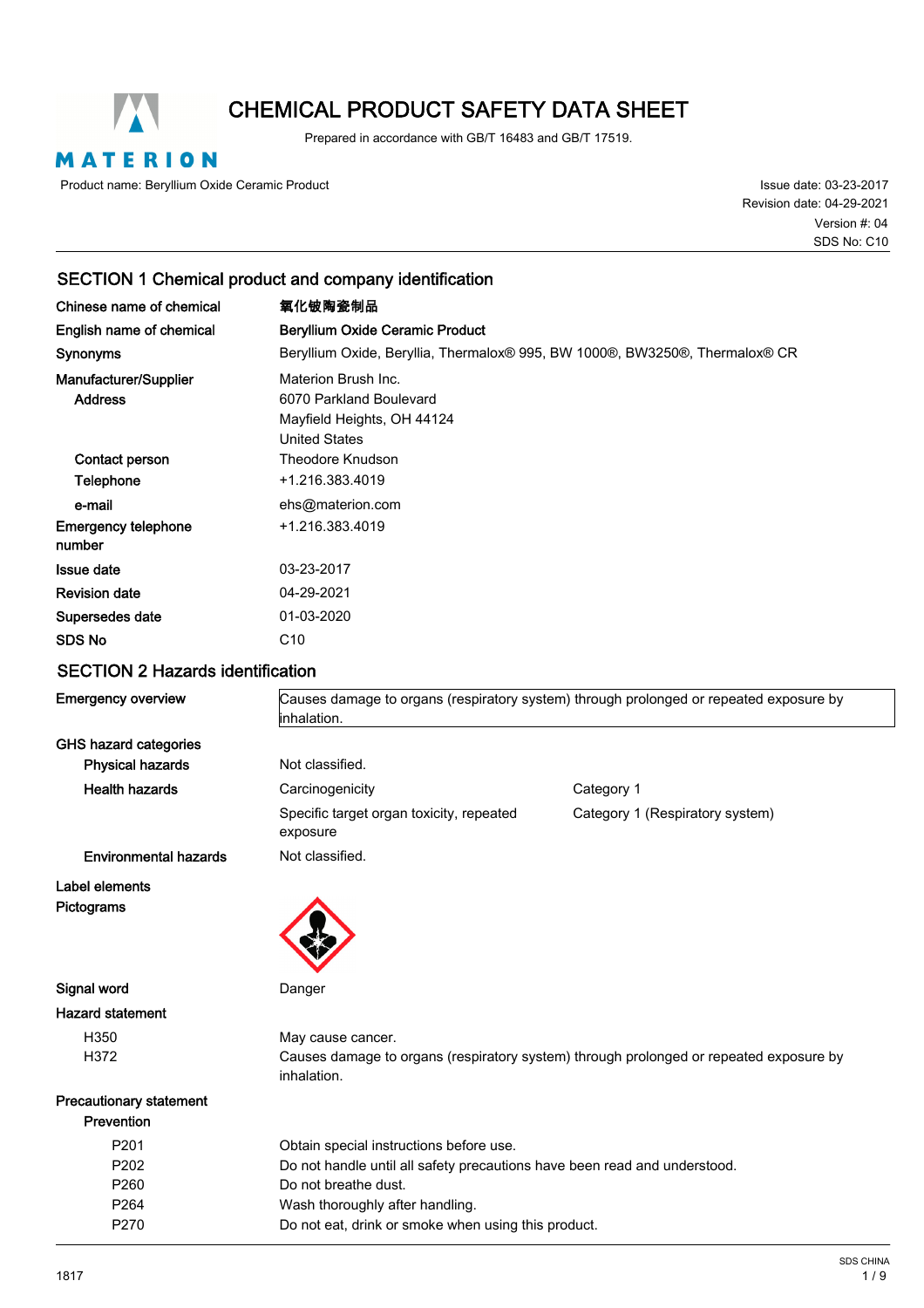

# CHEMICAL PRODUCT SAFETY DATA SHEET

Prepared in accordance with GB/T 16483 and GB/T 17519.

MATERION

Product name: Beryllium Oxide Ceramic Product

Issue date: 03-23-2017 Revision date: 04-29-2021 SDS No: C10 Version #: 04

### SECTION 1 Chemical product and company identification

| Chinese name of chemical                | 氧化铍陶瓷制品                                                                                              |
|-----------------------------------------|------------------------------------------------------------------------------------------------------|
| English name of chemical                | <b>Beryllium Oxide Ceramic Product</b>                                                               |
| <b>Synonyms</b>                         | Beryllium Oxide, Beryllia, Thermalox® 995, BW 1000®, BW3250®, Thermalox® CR                          |
| Manufacturer/Supplier<br><b>Address</b> | Materion Brush Inc.<br>6070 Parkland Boulevard<br>Mayfield Heights, OH 44124<br><b>United States</b> |
| Contact person<br>Telephone             | Theodore Knudson<br>+1.216.383.4019                                                                  |
| e-mail                                  | ehs@materion.com                                                                                     |
| <b>Emergency telephone</b><br>number    | +1.216.383.4019                                                                                      |
| <b>Issue date</b>                       | 03-23-2017                                                                                           |
| <b>Revision date</b>                    | 04-29-2021                                                                                           |
| Supersedes date                         | 01-03-2020                                                                                           |
| <b>SDS No</b>                           | C <sub>10</sub>                                                                                      |

### SECTION 2 Hazards identification

| <b>Emergency overview</b>      | Causes damage to organs (respiratory system) through prolonged or repeated exposure by<br>inhalation. |                                                                                        |
|--------------------------------|-------------------------------------------------------------------------------------------------------|----------------------------------------------------------------------------------------|
| <b>GHS hazard categories</b>   |                                                                                                       |                                                                                        |
| <b>Physical hazards</b>        | Not classified.                                                                                       |                                                                                        |
| <b>Health hazards</b>          | Carcinogenicity                                                                                       | Category 1                                                                             |
|                                | Specific target organ toxicity, repeated<br>exposure                                                  | Category 1 (Respiratory system)                                                        |
| <b>Environmental hazards</b>   | Not classified.                                                                                       |                                                                                        |
| Label elements<br>Pictograms   |                                                                                                       |                                                                                        |
| Signal word                    | Danger                                                                                                |                                                                                        |
| <b>Hazard statement</b>        |                                                                                                       |                                                                                        |
| H350                           | May cause cancer.                                                                                     |                                                                                        |
| H372                           | inhalation.                                                                                           | Causes damage to organs (respiratory system) through prolonged or repeated exposure by |
| <b>Precautionary statement</b> |                                                                                                       |                                                                                        |
| Prevention                     |                                                                                                       |                                                                                        |
| P201                           | Obtain special instructions before use.                                                               |                                                                                        |
| P <sub>202</sub>               | Do not handle until all safety precautions have been read and understood.                             |                                                                                        |
| P260                           | Do not breathe dust.                                                                                  |                                                                                        |
| P264                           | Wash thoroughly after handling.                                                                       |                                                                                        |
| P270                           | Do not eat, drink or smoke when using this product.                                                   |                                                                                        |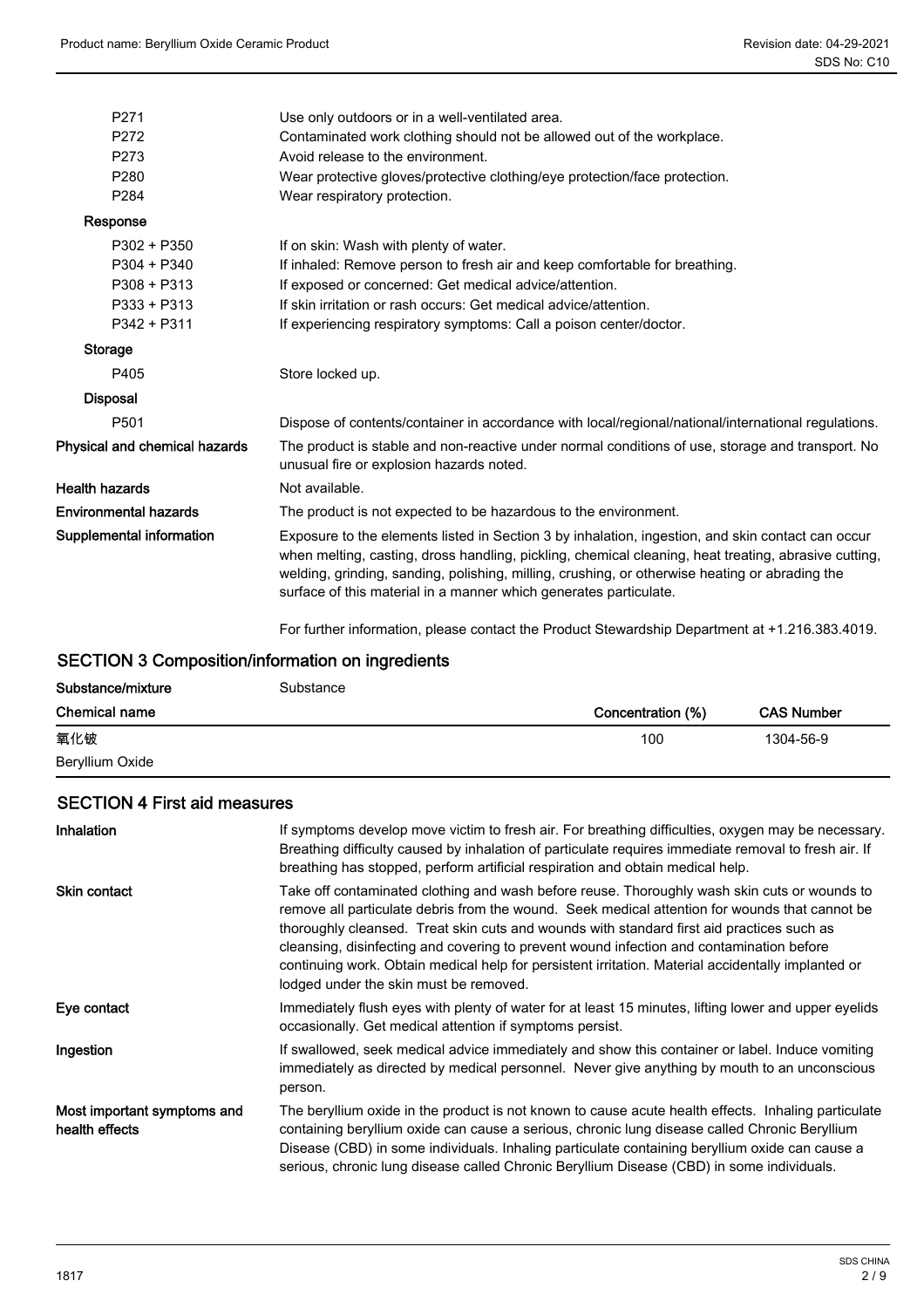| P271                          | Use only outdoors or in a well-ventilated area.                                                                                                                                                                                                                                                                                                                                  |
|-------------------------------|----------------------------------------------------------------------------------------------------------------------------------------------------------------------------------------------------------------------------------------------------------------------------------------------------------------------------------------------------------------------------------|
| P272                          | Contaminated work clothing should not be allowed out of the workplace.                                                                                                                                                                                                                                                                                                           |
| P273                          | Avoid release to the environment.                                                                                                                                                                                                                                                                                                                                                |
| P <sub>280</sub>              | Wear protective gloves/protective clothing/eye protection/face protection.                                                                                                                                                                                                                                                                                                       |
| P284                          | Wear respiratory protection.                                                                                                                                                                                                                                                                                                                                                     |
| Response                      |                                                                                                                                                                                                                                                                                                                                                                                  |
| $P302 + P350$                 | If on skin: Wash with plenty of water.                                                                                                                                                                                                                                                                                                                                           |
| $P304 + P340$                 | If inhaled: Remove person to fresh air and keep comfortable for breathing.                                                                                                                                                                                                                                                                                                       |
| $P308 + P313$                 | If exposed or concerned: Get medical advice/attention.                                                                                                                                                                                                                                                                                                                           |
| $P333 + P313$                 | If skin irritation or rash occurs: Get medical advice/attention.                                                                                                                                                                                                                                                                                                                 |
| P342 + P311                   | If experiencing respiratory symptoms: Call a poison center/doctor.                                                                                                                                                                                                                                                                                                               |
| Storage                       |                                                                                                                                                                                                                                                                                                                                                                                  |
| P405                          | Store locked up.                                                                                                                                                                                                                                                                                                                                                                 |
| <b>Disposal</b>               |                                                                                                                                                                                                                                                                                                                                                                                  |
| P501                          | Dispose of contents/container in accordance with local/regional/national/international regulations.                                                                                                                                                                                                                                                                              |
| Physical and chemical hazards | The product is stable and non-reactive under normal conditions of use, storage and transport. No<br>unusual fire or explosion hazards noted.                                                                                                                                                                                                                                     |
| Health hazards                | Not available.                                                                                                                                                                                                                                                                                                                                                                   |
| Environmental hazards         | The product is not expected to be hazardous to the environment.                                                                                                                                                                                                                                                                                                                  |
| Supplemental information      | Exposure to the elements listed in Section 3 by inhalation, ingestion, and skin contact can occur<br>when melting, casting, dross handling, pickling, chemical cleaning, heat treating, abrasive cutting,<br>welding, grinding, sanding, polishing, milling, crushing, or otherwise heating or abrading the<br>surface of this material in a manner which generates particulate. |
|                               |                                                                                                                                                                                                                                                                                                                                                                                  |

For further information, please contact the Product Stewardship Department at +1.216.383.4019.

### SECTION 3 Composition/information on ingredients

| Substance/mixture    | Substance |                   |                   |
|----------------------|-----------|-------------------|-------------------|
| <b>Chemical name</b> |           | Concentration (%) | <b>CAS Number</b> |
| 氧化铍                  |           | 100               | 1304-56-9         |
| Beryllium Oxide      |           |                   |                   |

### SECTION 4 First aid measures

| <b>Inhalation</b>                             | If symptoms develop move victim to fresh air. For breathing difficulties, oxygen may be necessary.<br>Breathing difficulty caused by inhalation of particulate requires immediate removal to fresh air. If<br>breathing has stopped, perform artificial respiration and obtain medical help.                                                                                                                                                                                                                                            |
|-----------------------------------------------|-----------------------------------------------------------------------------------------------------------------------------------------------------------------------------------------------------------------------------------------------------------------------------------------------------------------------------------------------------------------------------------------------------------------------------------------------------------------------------------------------------------------------------------------|
| <b>Skin contact</b>                           | Take off contaminated clothing and wash before reuse. Thoroughly wash skin cuts or wounds to<br>remove all particulate debris from the wound. Seek medical attention for wounds that cannot be<br>thoroughly cleansed. Treat skin cuts and wounds with standard first aid practices such as<br>cleansing, disinfecting and covering to prevent wound infection and contamination before<br>continuing work. Obtain medical help for persistent irritation. Material accidentally implanted or<br>lodged under the skin must be removed. |
| Eye contact                                   | Immediately flush eyes with plenty of water for at least 15 minutes, lifting lower and upper eyelids<br>occasionally. Get medical attention if symptoms persist.                                                                                                                                                                                                                                                                                                                                                                        |
| Ingestion                                     | If swallowed, seek medical advice immediately and show this container or label. Induce vomiting<br>immediately as directed by medical personnel. Never give anything by mouth to an unconscious<br>person.                                                                                                                                                                                                                                                                                                                              |
| Most important symptoms and<br>health effects | The beryllium oxide in the product is not known to cause acute health effects. Inhaling particulate<br>containing beryllium oxide can cause a serious, chronic lung disease called Chronic Beryllium<br>Disease (CBD) in some individuals. Inhaling particulate containing beryllium oxide can cause a<br>serious, chronic lung disease called Chronic Beryllium Disease (CBD) in some individuals.                                                                                                                                     |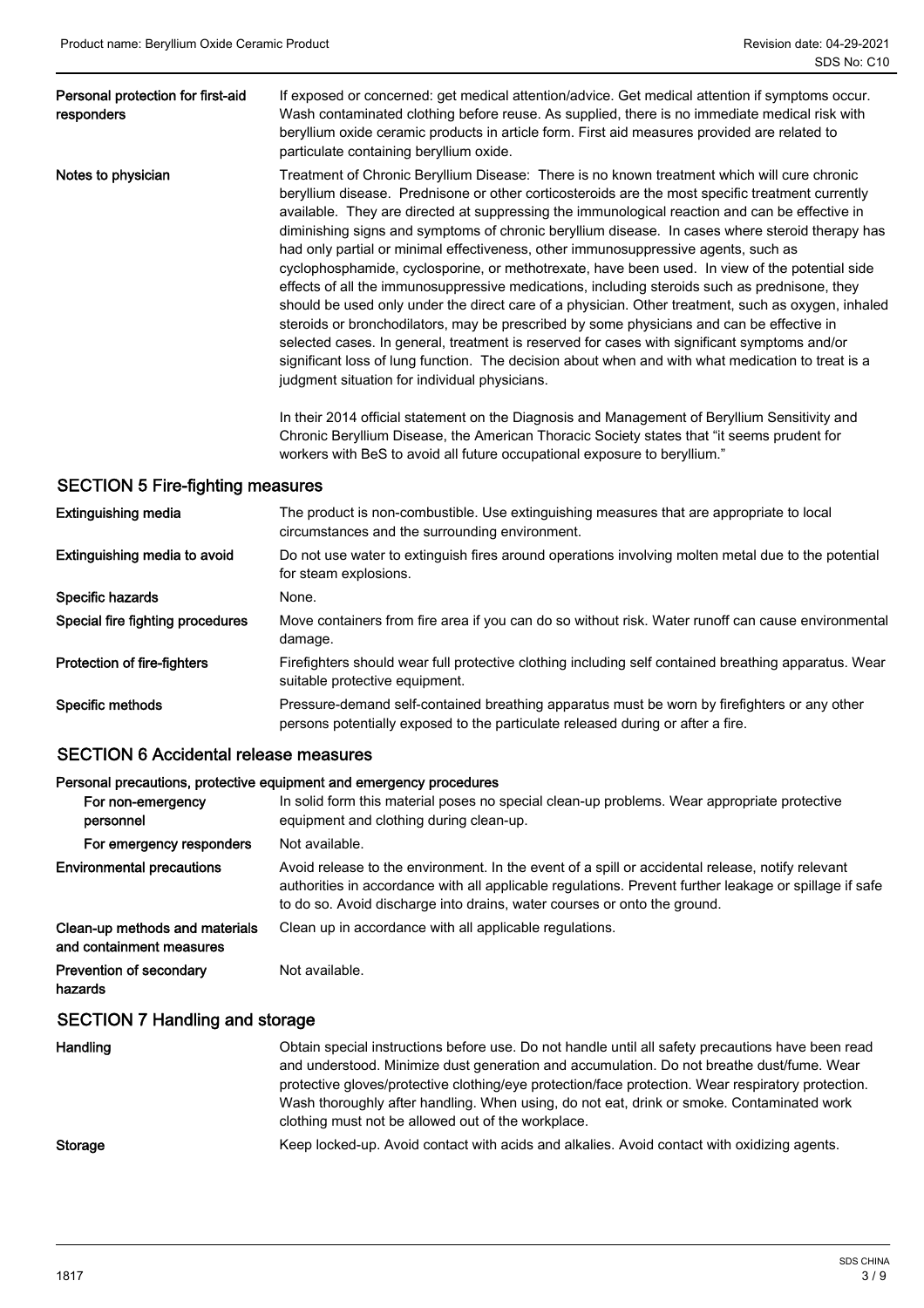| Personal protection for first-aid<br>responders | If exposed or concerned: get medical attention/advice. Get medical attention if symptoms occur.<br>Wash contaminated clothing before reuse. As supplied, there is no immediate medical risk with<br>beryllium oxide ceramic products in article form. First aid measures provided are related to<br>particulate containing beryllium oxide.                                                                                                                                                                                                                                                                                                                                                                                                                                                                                                                                                                                                                                                                                                                                                                                                            |
|-------------------------------------------------|--------------------------------------------------------------------------------------------------------------------------------------------------------------------------------------------------------------------------------------------------------------------------------------------------------------------------------------------------------------------------------------------------------------------------------------------------------------------------------------------------------------------------------------------------------------------------------------------------------------------------------------------------------------------------------------------------------------------------------------------------------------------------------------------------------------------------------------------------------------------------------------------------------------------------------------------------------------------------------------------------------------------------------------------------------------------------------------------------------------------------------------------------------|
| Notes to physician                              | Treatment of Chronic Beryllium Disease: There is no known treatment which will cure chronic<br>beryllium disease. Prednisone or other corticosteroids are the most specific treatment currently<br>available. They are directed at suppressing the immunological reaction and can be effective in<br>diminishing signs and symptoms of chronic beryllium disease. In cases where steroid therapy has<br>had only partial or minimal effectiveness, other immunosuppressive agents, such as<br>cyclophosphamide, cyclosporine, or methotrexate, have been used. In view of the potential side<br>effects of all the immunosuppressive medications, including steroids such as prednisone, they<br>should be used only under the direct care of a physician. Other treatment, such as oxygen, inhaled<br>steroids or bronchodilators, may be prescribed by some physicians and can be effective in<br>selected cases. In general, treatment is reserved for cases with significant symptoms and/or<br>significant loss of lung function. The decision about when and with what medication to treat is a<br>judgment situation for individual physicians. |
|                                                 | In their 2014 official statement on the Diagnosis and Management of Beryllium Sensitivity and<br>$\mathcal{O}(1+\mathsf{D}^{1}+\mathsf{D}^{1}+\mathsf{D}^{1}+\mathsf{D}^{1}+\mathsf{D}^{1}+\mathsf{D}^{1}+\mathsf{D}^{1}+\mathsf{D}^{1}+\mathsf{D}^{1}+\mathsf{D}^{1}+\mathsf{D}^{1}+\mathsf{D}^{1}+\mathsf{D}^{1}+\mathsf{D}^{1}+\mathsf{D}^{1}+\mathsf{D}^{1}+\mathsf{D}^{1}+\mathsf{D}^{1}+\mathsf{D}^{1}+\mathsf{D}^{1}+\mathsf{D}^{1}+\mathsf{D}^{1}+\mathsf{D}^{1}+\mathsf{D}$                                                                                                                                                                                                                                                                                                                                                                                                                                                                                                                                                                                                                                                                   |

Chronic Beryllium Disease, the American Thoracic Society states that "it seems prudent for workers with BeS to avoid all future occupational exposure to beryllium."

### SECTION 5 Fire-fighting measures

| <b>Extinguishing media</b>       | The product is non-combustible. Use extinguishing measures that are appropriate to local<br>circumstances and the surrounding environment.                                      |
|----------------------------------|---------------------------------------------------------------------------------------------------------------------------------------------------------------------------------|
| Extinguishing media to avoid     | Do not use water to extinguish fires around operations involving molten metal due to the potential<br>for steam explosions.                                                     |
| Specific hazards                 | None.                                                                                                                                                                           |
| Special fire fighting procedures | Move containers from fire area if you can do so without risk. Water runoff can cause environmental<br>damage.                                                                   |
| Protection of fire-fighters      | Firefighters should wear full protective clothing including self contained breathing apparatus. Wear<br>suitable protective equipment.                                          |
| Specific methods                 | Pressure-demand self-contained breathing apparatus must be worn by firefighters or any other<br>persons potentially exposed to the particulate released during or after a fire. |

### SECTION 6 Accidental release measures

#### Personal precautions, protective equipment and emergency procedures

| For non-emergency<br>personnel                             | In solid form this material poses no special clean-up problems. Wear appropriate protective<br>equipment and clothing during clean-up.                                                                                                                                                 |
|------------------------------------------------------------|----------------------------------------------------------------------------------------------------------------------------------------------------------------------------------------------------------------------------------------------------------------------------------------|
| For emergency responders                                   | Not available.                                                                                                                                                                                                                                                                         |
| <b>Environmental precautions</b>                           | Avoid release to the environment. In the event of a spill or accidental release, notify relevant<br>authorities in accordance with all applicable regulations. Prevent further leakage or spillage if safe<br>to do so. Avoid discharge into drains, water courses or onto the ground. |
| Clean-up methods and materials<br>and containment measures | Clean up in accordance with all applicable regulations.                                                                                                                                                                                                                                |
| <b>Prevention of secondary</b><br>hazards                  | Not available.                                                                                                                                                                                                                                                                         |
| <b>SECTION 7 Handling and storage</b>                      |                                                                                                                                                                                                                                                                                        |

| Handling | Obtain special instructions before use. Do not handle until all safety precautions have been read  |
|----------|----------------------------------------------------------------------------------------------------|
|          | and understood. Minimize dust generation and accumulation. Do not breathe dust/fume. Wear          |
|          | protective gloves/protective clothing/eye protection/face protection. Wear respiratory protection. |
|          | Wash thoroughly after handling. When using, do not eat, drink or smoke. Contaminated work          |
|          | clothing must not be allowed out of the workplace.                                                 |
| Storage  | Keep locked-up. Avoid contact with acids and alkalies. Avoid contact with oxidizing agents.        |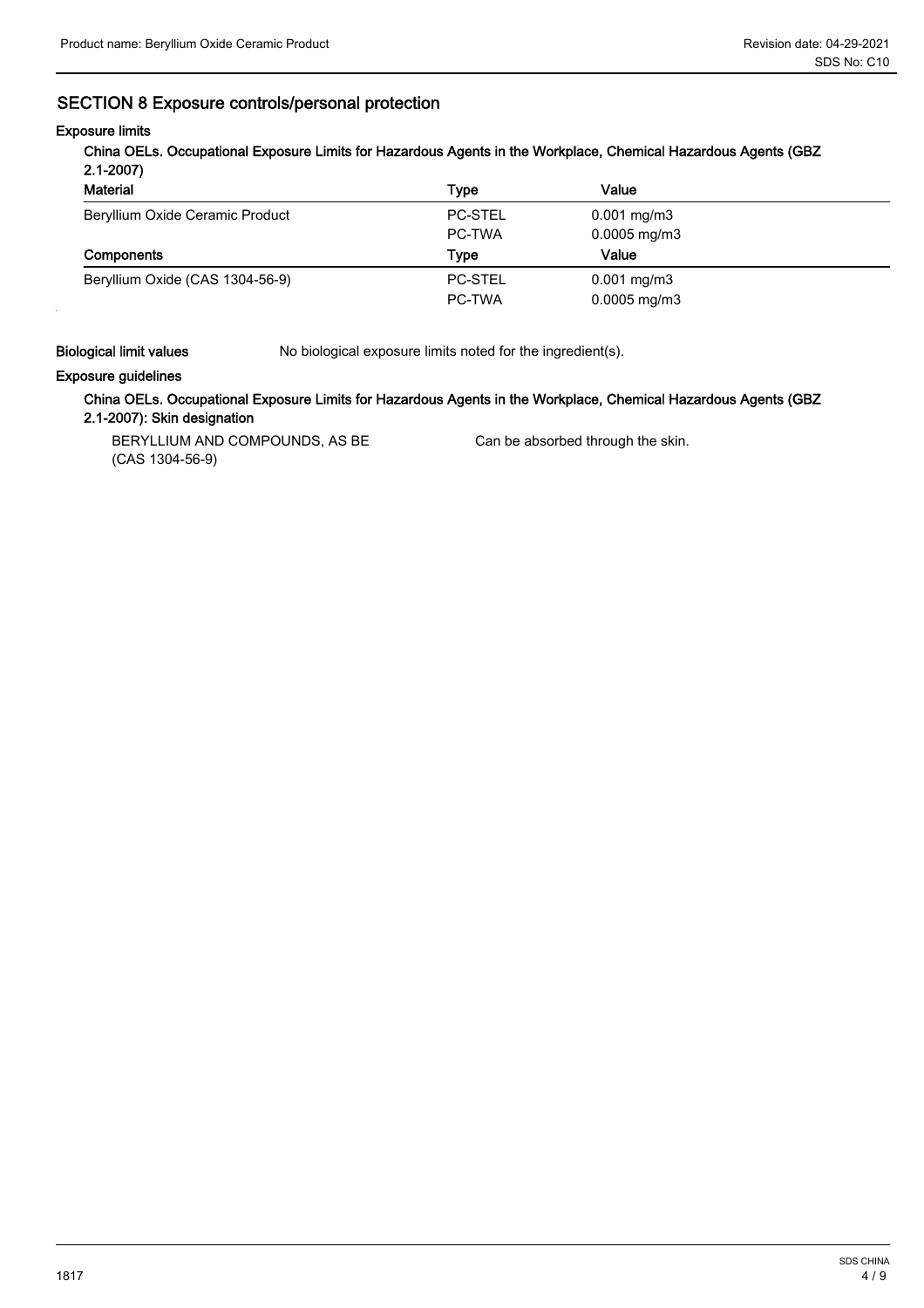### SECTION 8 Exposure controls/personal protection

### Exposure limits

China OELs. Occupational Exposure Limits for Hazardous Agents in the Workplace, Chemical Hazardous Agents (GBZ 2.1-2007)

| <b>Material</b>                 | Type           | Value                    |  |
|---------------------------------|----------------|--------------------------|--|
| Beryllium Oxide Ceramic Product | <b>PC-STEL</b> | $0.001 \,\mathrm{mg/m3}$ |  |
|                                 | PC-TWA         | $0.0005$ mg/m3           |  |
|                                 |                |                          |  |
| Components                      | Tvpe           | Value                    |  |
| Beryllium Oxide (CAS 1304-56-9) | <b>PC-STEL</b> | $0.001$ mg/m3            |  |

Biological limit values No biological exposure limits noted for the ingredient(s).

### Exposure guidelines

### China OELs. Occupational Exposure Limits for Hazardous Agents in the Workplace, Chemical Hazardous Agents (GBZ 2.1-2007): Skin designation

BERYLLIUM AND COMPOUNDS, AS BE (CAS 1304-56-9)

Can be absorbed through the skin.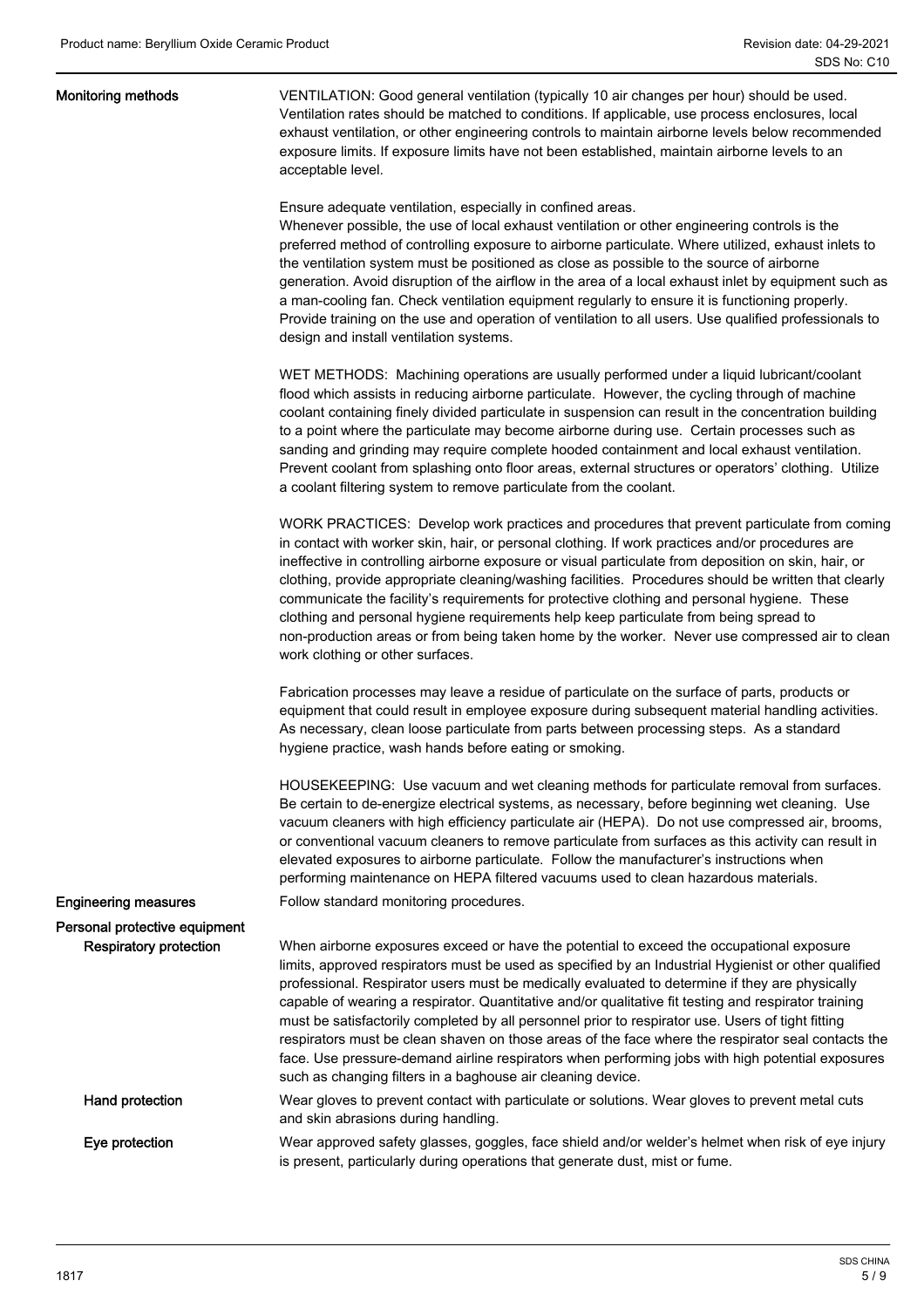#### Monitoring methods

VENTILATION: Good general ventilation (typically 10 air changes per hour) should be used. Ventilation rates should be matched to conditions. If applicable, use process enclosures, local exhaust ventilation, or other engineering controls to maintain airborne levels below recommended exposure limits. If exposure limits have not been established, maintain airborne levels to an acceptable level.

Ensure adequate ventilation, especially in confined areas.

Whenever possible, the use of local exhaust ventilation or other engineering controls is the preferred method of controlling exposure to airborne particulate. Where utilized, exhaust inlets to the ventilation system must be positioned as close as possible to the source of airborne generation. Avoid disruption of the airflow in the area of a local exhaust inlet by equipment such as a man-cooling fan. Check ventilation equipment regularly to ensure it is functioning properly. Provide training on the use and operation of ventilation to all users. Use qualified professionals to design and install ventilation systems.

WET METHODS: Machining operations are usually performed under a liquid lubricant/coolant flood which assists in reducing airborne particulate. However, the cycling through of machine coolant containing finely divided particulate in suspension can result in the concentration building to a point where the particulate may become airborne during use. Certain processes such as sanding and grinding may require complete hooded containment and local exhaust ventilation. Prevent coolant from splashing onto floor areas, external structures or operators' clothing. Utilize a coolant filtering system to remove particulate from the coolant.

WORK PRACTICES: Develop work practices and procedures that prevent particulate from coming in contact with worker skin, hair, or personal clothing. If work practices and/or procedures are ineffective in controlling airborne exposure or visual particulate from deposition on skin, hair, or clothing, provide appropriate cleaning/washing facilities. Procedures should be written that clearly communicate the facility's requirements for protective clothing and personal hygiene. These clothing and personal hygiene requirements help keep particulate from being spread to non-production areas or from being taken home by the worker. Never use compressed air to clean work clothing or other surfaces.

Fabrication processes may leave a residue of particulate on the surface of parts, products or equipment that could result in employee exposure during subsequent material handling activities. As necessary, clean loose particulate from parts between processing steps. As a standard hygiene practice, wash hands before eating or smoking.

HOUSEKEEPING: Use vacuum and wet cleaning methods for particulate removal from surfaces. Be certain to de-energize electrical systems, as necessary, before beginning wet cleaning. Use vacuum cleaners with high efficiency particulate air (HEPA). Do not use compressed air, brooms, or conventional vacuum cleaners to remove particulate from surfaces as this activity can result in elevated exposures to airborne particulate. Follow the manufacturer's instructions when performing maintenance on HEPA filtered vacuums used to clean hazardous materials.

#### **Engineering measures** Follow standard monitoring procedures.

Personal protective equipment Respiratory protection

When airborne exposures exceed or have the potential to exceed the occupational exposure limits, approved respirators must be used as specified by an Industrial Hygienist or other qualified professional. Respirator users must be medically evaluated to determine if they are physically capable of wearing a respirator. Quantitative and/or qualitative fit testing and respirator training must be satisfactorily completed by all personnel prior to respirator use. Users of tight fitting respirators must be clean shaven on those areas of the face where the respirator seal contacts the face. Use pressure-demand airline respirators when performing jobs with high potential exposures such as changing filters in a baghouse air cleaning device.

Hand protection

Eye protection

Wear gloves to prevent contact with particulate or solutions. Wear gloves to prevent metal cuts and skin abrasions during handling. Wear approved safety glasses, goggles, face shield and/or welder's helmet when risk of eye injury

is present, particularly during operations that generate dust, mist or fume.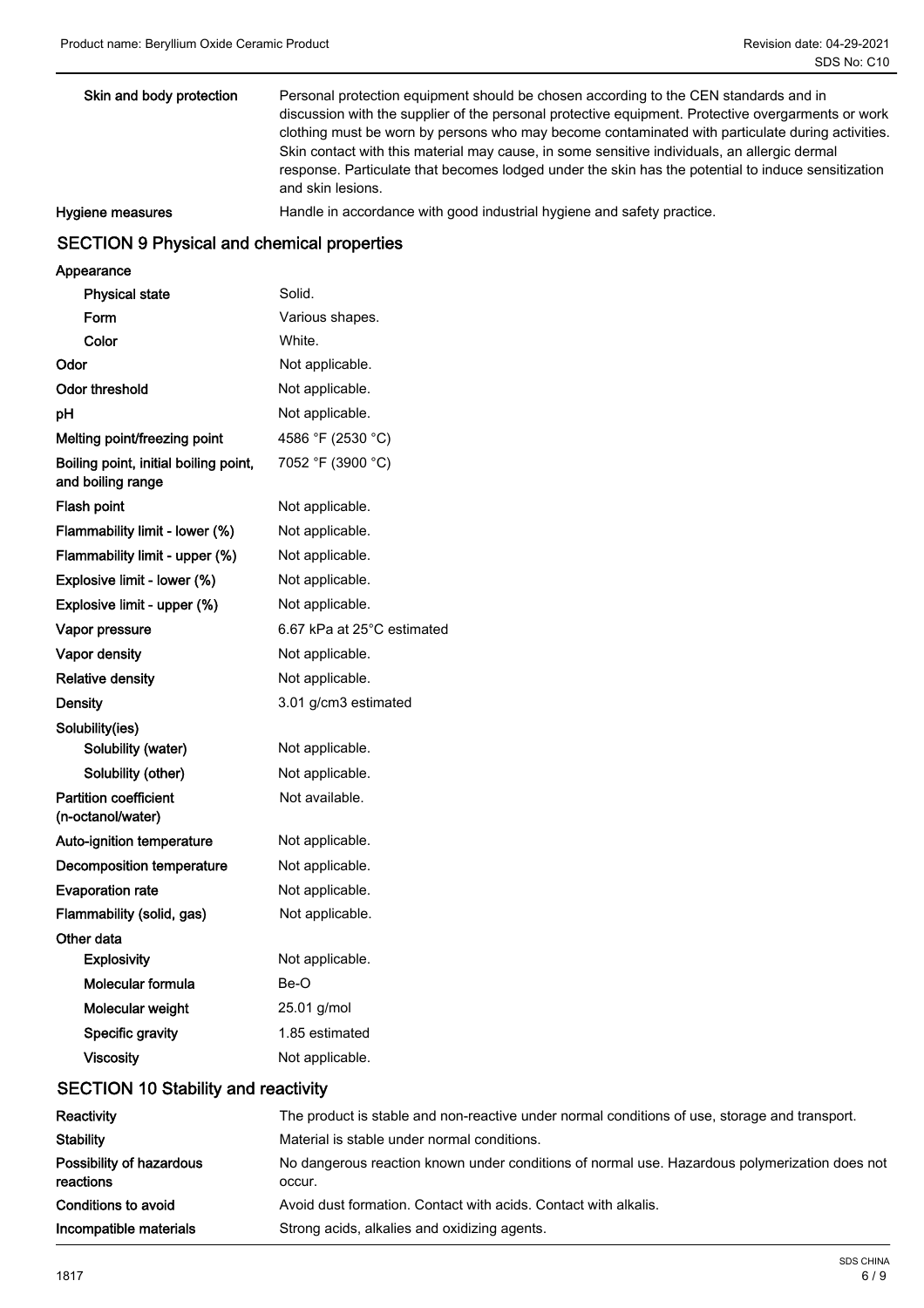| Skin and body protection | Personal protection equipment should be chosen according to the CEN standards and in<br>discussion with the supplier of the personal protective equipment. Protective overgarments or work<br>clothing must be worn by persons who may become contaminated with particulate during activities.<br>Skin contact with this material may cause, in some sensitive individuals, an allergic dermal<br>response. Particulate that becomes lodged under the skin has the potential to induce sensitization |
|--------------------------|------------------------------------------------------------------------------------------------------------------------------------------------------------------------------------------------------------------------------------------------------------------------------------------------------------------------------------------------------------------------------------------------------------------------------------------------------------------------------------------------------|
|                          | and skin lesions.                                                                                                                                                                                                                                                                                                                                                                                                                                                                                    |
| Hygiene measures         | Handle in accordance with good industrial hygiene and safety practice.                                                                                                                                                                                                                                                                                                                                                                                                                               |

### SECTION 9 Physical and chemical properties

### Appearance

| <b>Physical state</b>                                      | Solid.                     |
|------------------------------------------------------------|----------------------------|
| Form                                                       | Various shapes.            |
| Color                                                      | White.                     |
| Odor                                                       | Not applicable.            |
| Odor threshold                                             | Not applicable.            |
| рH                                                         | Not applicable.            |
| Melting point/freezing point                               | 4586 °F (2530 °C)          |
| Boiling point, initial boiling point,<br>and boiling range | 7052 °F (3900 °C)          |
| Flash point                                                | Not applicable.            |
| Flammability limit - lower (%)                             | Not applicable.            |
| Flammability limit - upper (%)                             | Not applicable.            |
| Explosive limit - lower (%)                                | Not applicable.            |
| Explosive limit - upper (%)                                | Not applicable.            |
| Vapor pressure                                             | 6.67 kPa at 25°C estimated |
| Vapor density                                              | Not applicable.            |
| <b>Relative density</b>                                    | Not applicable.            |
| <b>Density</b>                                             | 3.01 g/cm3 estimated       |
| Solubility(ies)                                            |                            |
| Solubility (water)                                         | Not applicable.            |
| Solubility (other)                                         | Not applicable.            |
| <b>Partition coefficient</b><br>(n-octanol/water)          | Not available.             |
| Auto-ignition temperature                                  | Not applicable.            |
| <b>Decomposition temperature</b>                           | Not applicable.            |
| <b>Evaporation rate</b>                                    | Not applicable.            |
| Flammability (solid, gas)                                  | Not applicable.            |
| Other data                                                 |                            |
| <b>Explosivity</b>                                         | Not applicable.            |
| Molecular formula                                          | Be-O                       |
| Molecular weight                                           | $25.01$ g/mol              |
| Specific gravity                                           | 1.85 estimated             |
| <b>Viscosity</b>                                           | Not applicable.            |
|                                                            |                            |

### SECTION 10 Stability and reactivity

| Reactivity                            | The product is stable and non-reactive under normal conditions of use, storage and transport.           |
|---------------------------------------|---------------------------------------------------------------------------------------------------------|
| <b>Stability</b>                      | Material is stable under normal conditions.                                                             |
| Possibility of hazardous<br>reactions | No dangerous reaction known under conditions of normal use. Hazardous polymerization does not<br>occur. |
| Conditions to avoid                   | Avoid dust formation. Contact with acids. Contact with alkalis.                                         |
| Incompatible materials                | Strong acids, alkalies and oxidizing agents.                                                            |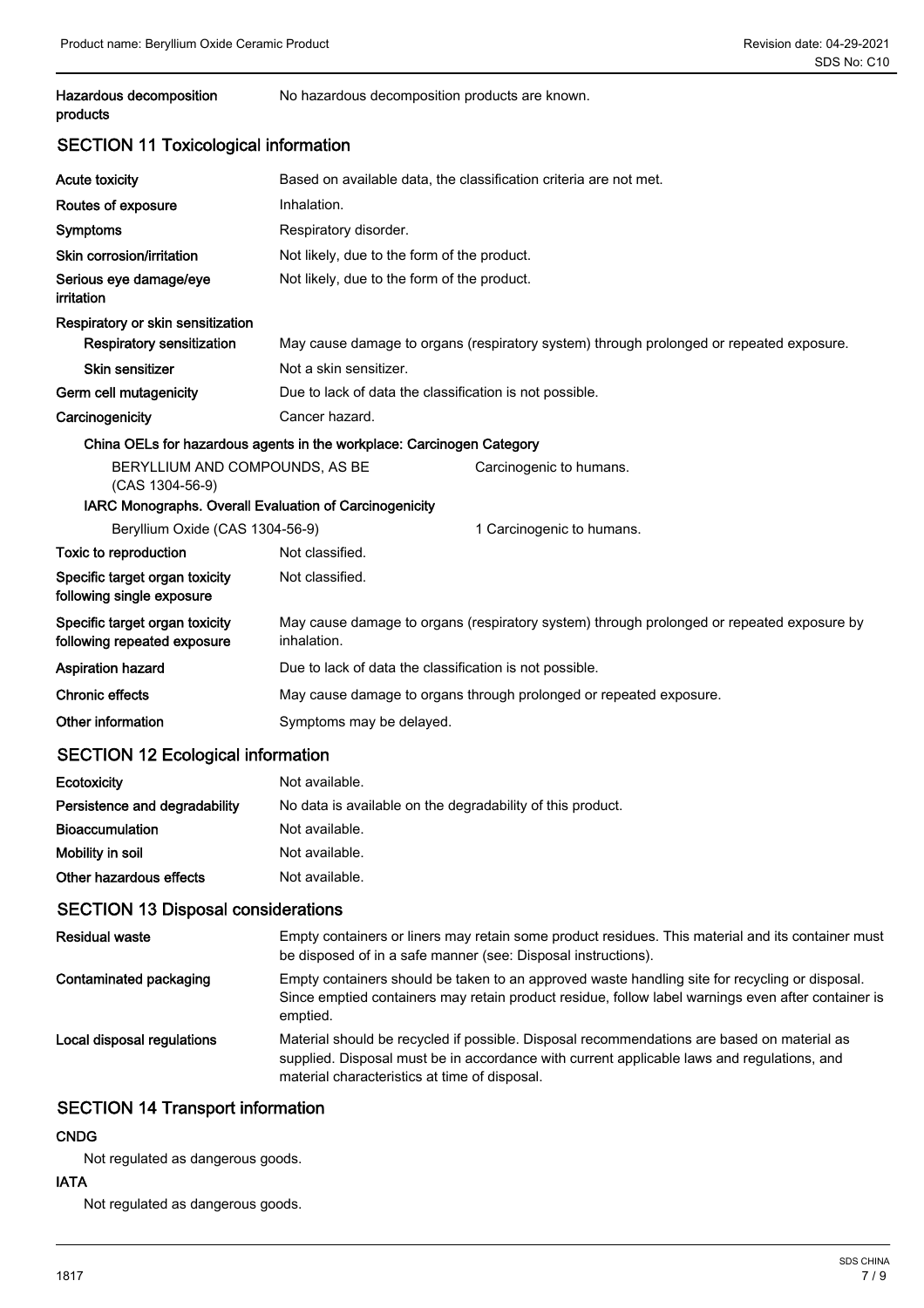## Hazardous decomposition No hazardous decomposition products are known. products

### SECTION 11 Toxicological information

| <b>Acute toxicity</b>                                         | Based on available data, the classification criteria are not met.                                        |                                                                                         |  |
|---------------------------------------------------------------|----------------------------------------------------------------------------------------------------------|-----------------------------------------------------------------------------------------|--|
| Routes of exposure                                            | Inhalation.                                                                                              |                                                                                         |  |
| <b>Symptoms</b>                                               | Respiratory disorder.                                                                                    |                                                                                         |  |
| Skin corrosion/irritation                                     | Not likely, due to the form of the product.                                                              |                                                                                         |  |
| Serious eye damage/eye<br>irritation                          | Not likely, due to the form of the product.                                                              |                                                                                         |  |
| Respiratory or skin sensitization                             |                                                                                                          |                                                                                         |  |
| <b>Respiratory sensitization</b>                              |                                                                                                          | May cause damage to organs (respiratory system) through prolonged or repeated exposure. |  |
| <b>Skin sensitizer</b>                                        | Not a skin sensitizer.                                                                                   |                                                                                         |  |
| Germ cell mutagenicity                                        | Due to lack of data the classification is not possible.                                                  |                                                                                         |  |
| Carcinogenicity                                               | Cancer hazard.                                                                                           |                                                                                         |  |
|                                                               | China OELs for hazardous agents in the workplace: Carcinogen Category                                    |                                                                                         |  |
| BERYLLIUM AND COMPOUNDS, AS BE<br>(CAS 1304-56-9)             |                                                                                                          | Carcinogenic to humans.                                                                 |  |
| IARC Monographs. Overall Evaluation of Carcinogenicity        |                                                                                                          |                                                                                         |  |
| Beryllium Oxide (CAS 1304-56-9)                               |                                                                                                          | 1 Carcinogenic to humans.                                                               |  |
| Toxic to reproduction                                         | Not classified.                                                                                          |                                                                                         |  |
| Specific target organ toxicity<br>following single exposure   | Not classified.                                                                                          |                                                                                         |  |
| Specific target organ toxicity<br>following repeated exposure | May cause damage to organs (respiratory system) through prolonged or repeated exposure by<br>inhalation. |                                                                                         |  |
| Aspiration hazard                                             | Due to lack of data the classification is not possible.                                                  |                                                                                         |  |
| <b>Chronic effects</b>                                        | May cause damage to organs through prolonged or repeated exposure.                                       |                                                                                         |  |
| Other information                                             | Symptoms may be delayed.                                                                                 |                                                                                         |  |
| SECTION 12 Ecological information                             |                                                                                                          |                                                                                         |  |

### $\mathsf{S}$ ו ו $\mathsf{S}$ ו וו $\mathsf{S}$  = cological information

| Ecotoxicity                   | Not available.                                             |
|-------------------------------|------------------------------------------------------------|
| Persistence and degradability | No data is available on the degradability of this product. |
| <b>Bioaccumulation</b>        | Not available.                                             |
| Mobility in soil              | Not available.                                             |
| Other hazardous effects       | Not available.                                             |

### SECTION 13 Disposal considerations

| <b>Residual waste</b>      | Empty containers or liners may retain some product residues. This material and its container must<br>be disposed of in a safe manner (see: Disposal instructions).                                                                        |
|----------------------------|-------------------------------------------------------------------------------------------------------------------------------------------------------------------------------------------------------------------------------------------|
| Contaminated packaging     | Empty containers should be taken to an approved waste handling site for recycling or disposal.<br>Since emptied containers may retain product residue, follow label warnings even after container is<br>emptied.                          |
| Local disposal regulations | Material should be recycled if possible. Disposal recommendations are based on material as<br>supplied. Disposal must be in accordance with current applicable laws and regulations, and<br>material characteristics at time of disposal. |

### SECTION 14 Transport information

### **CNDG**

Not regulated as dangerous goods.

### IATA

Not regulated as dangerous goods.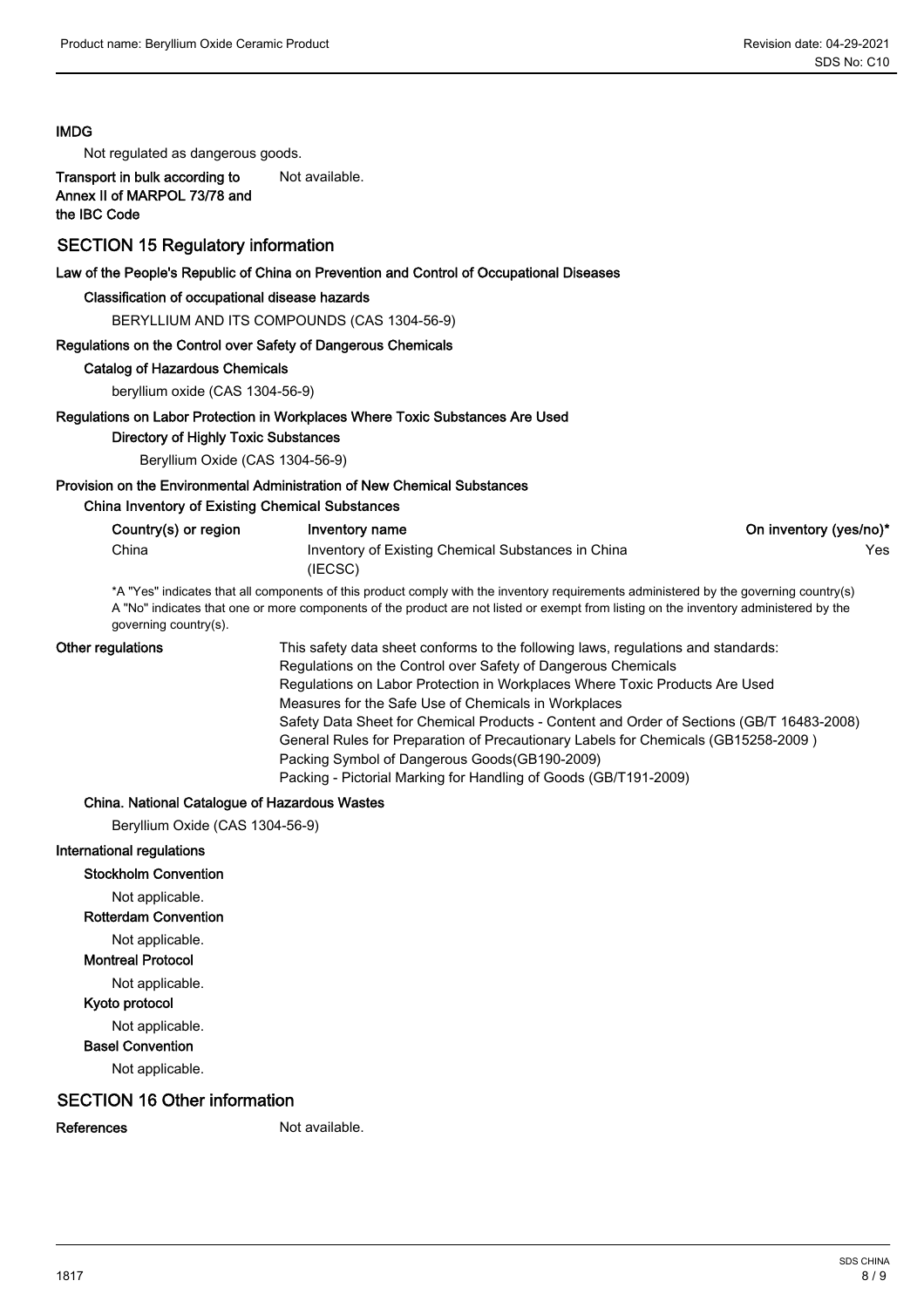### IMDG

Not regulated as dangerous goods.

Transport in bulk according to Not available. Annex II of MARPOL 73/78 and the IBC Code

### SECTION 15 Regulatory information

#### Law of the People's Republic of China on Prevention and Control of Occupational Diseases

#### Classification of occupational disease hazards

BERYLLIUM AND ITS COMPOUNDS (CAS 1304-56-9)

#### Regulations on the Control over Safety of Dangerous Chemicals

#### Catalog of Hazardous Chemicals

beryllium oxide (CAS 1304-56-9)

#### Regulations on Labor Protection in Workplaces Where Toxic Substances Are Used

Directory of Highly Toxic Substances

Beryllium Oxide (CAS 1304-56-9)

### Provision on the Environmental Administration of New Chemical Substances

#### China Inventory of Existing Chemical Substances

| Country(s) or region | Inventory name                                                                                                                         | On inventory (yes/no)* |
|----------------------|----------------------------------------------------------------------------------------------------------------------------------------|------------------------|
| China                | Inventory of Existing Chemical Substances in China                                                                                     | Yes.                   |
|                      | (IECSC)                                                                                                                                |                        |
|                      | *A "Yes" indicates that all components of this product comply with the inventory requirements administered by the governing country(s) |                        |

A "No" indicates that one or more components of the product are not listed or exempt from listing on the inventory administered by the governing country(s).

#### Other regulations

This safety data sheet conforms to the following laws, regulations and standards: Regulations on the Control over Safety of Dangerous Chemicals Regulations on Labor Protection in Workplaces Where Toxic Products Are Used Measures for the Safe Use of Chemicals in Workplaces Safety Data Sheet for Chemical Products - Content and Order of Sections (GB/T 16483-2008) General Rules for Preparation of Precautionary Labels for Chemicals (GB15258-2009 ) Packing Symbol of Dangerous Goods(GB190-2009) Packing - Pictorial Marking for Handling of Goods (GB/T191-2009)

#### China. National Catalogue of Hazardous Wastes

Beryllium Oxide (CAS 1304-56-9)

#### International regulations

#### Stockholm Convention

Not applicable.

Rotterdam Convention

Not applicable.

#### Montreal Protocol

Not applicable.

### Kyoto protocol

Not applicable.

### Basel Convention

Not applicable.

### SECTION 16 Other information

References Not available.